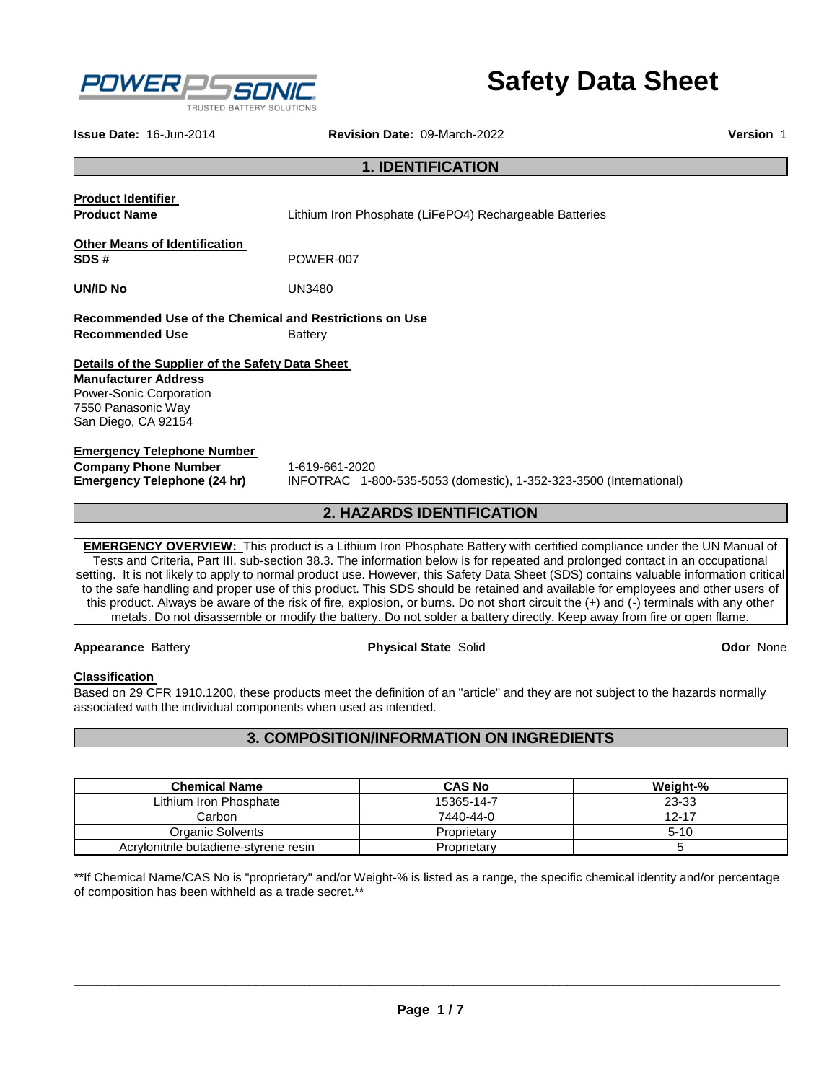

# **Safety Data Sheet**

**Issue Date:** 16-Jun-2014 **Revision Date:** 09-March-2022 **Version** 1

# **1. IDENTIFICATION**

**Product Identifier** 

**Product Name** Lithium Iron Phosphate (LiFePO4) Rechargeable Batteries

**Other Means of Identification SDS #** POWER-007

**UN/ID No** UN3480

**Recommended Use of the Chemical and Restrictions on Use Recommended Use Battery** 

# **Details of the Supplier of the Safety Data Sheet**

**Manufacturer Address** Power-Sonic Corporation 7550 Panasonic Way San Diego, CA 92154

# **Emergency Telephone Number**

| <b>Company Phone Number</b> | 1-6 |
|-----------------------------|-----|
| Emergency Telephone (24 hr) | INI |

**Company Phone Number** 1-619-661-2020 **Emergency Telephone (24 hr)** INFOTRAC 1-800-535-5053 (domestic), 1-352-323-3500 (International)

# **2. HAZARDS IDENTIFICATION**

**EMERGENCY OVERVIEW:** This product is a Lithium Iron Phosphate Battery with certified compliance under the UN Manual of Tests and Criteria, Part III, sub-section 38.3. The information below is for repeated and prolonged contact in an occupational setting. It is not likely to apply to normal product use. However, this Safety Data Sheet (SDS) contains valuable information critical to the safe handling and proper use of this product. This SDS should be retained and available for employees and other users of this product. Always be aware of the risk of fire, explosion, or burns. Do not short circuit the (+) and (-) terminals with any other metals. Do not disassemble or modify the battery. Do not solder a battery directly. Keep away from fire or open flame.

### **Appearance** Battery **Physical State** Solid **Odor** None

# **Classification**

Based on 29 CFR 1910.1200, these products meet the definition of an "article" and they are not subject to the hazards normally associated with the individual components when used as intended.

# **3. COMPOSITION/INFORMATION ON INGREDIENTS**

| <b>Chemical Name</b>                  | <b>CAS No</b> | Weight-%  |
|---------------------------------------|---------------|-----------|
| Lithium Iron Phosphate                | 15365-14-7    | 23-33     |
| Carbon                                | 7440-44-0     | $12 - 17$ |
| Organic Solvents                      | Proprietary   | $5 - 10$  |
| Acrylonitrile butadiene-styrene resin | Proprietary   |           |

\*\*If Chemical Name/CAS No is "proprietary" and/or Weight-% is listed as a range, the specific chemical identity and/or percentage of composition has been withheld as a trade secret.\*\*

\_\_\_\_\_\_\_\_\_\_\_\_\_\_\_\_\_\_\_\_\_\_\_\_\_\_\_\_\_\_\_\_\_\_\_\_\_\_\_\_\_\_\_\_\_\_\_\_\_\_\_\_\_\_\_\_\_\_\_\_\_\_\_\_\_\_\_\_\_\_\_\_\_\_\_\_\_\_\_\_\_\_\_\_\_\_\_\_\_\_\_\_\_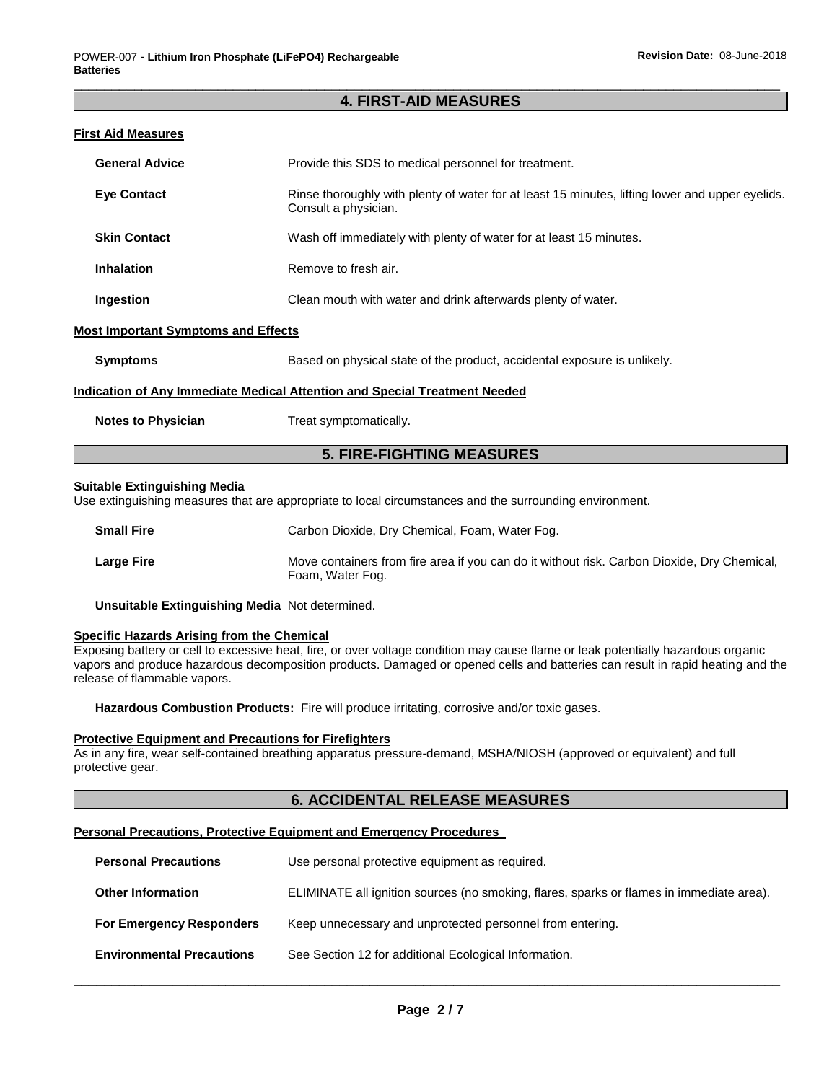# \_\_\_\_\_\_\_\_\_\_\_\_\_\_\_\_\_\_\_\_\_\_\_\_\_\_\_\_\_\_\_\_\_\_\_\_\_\_\_\_\_\_\_\_\_\_\_\_\_\_\_\_\_\_\_\_\_\_\_\_\_\_\_\_\_\_\_\_\_\_\_\_\_\_\_\_\_\_\_\_\_\_\_\_\_\_\_\_\_\_\_\_\_ **4. FIRST-AID MEASURES**

# **First Aid Measures**

| <b>General Advice</b>                      | Provide this SDS to medical personnel for treatment.                                                                    |
|--------------------------------------------|-------------------------------------------------------------------------------------------------------------------------|
| <b>Eye Contact</b>                         | Rinse thoroughly with plenty of water for at least 15 minutes, lifting lower and upper eyelids.<br>Consult a physician. |
| <b>Skin Contact</b>                        | Wash off immediately with plenty of water for at least 15 minutes.                                                      |
| <b>Inhalation</b>                          | Remove to fresh air.                                                                                                    |
| Ingestion                                  | Clean mouth with water and drink afterwards plenty of water.                                                            |
| <b>Most Important Symptoms and Effects</b> |                                                                                                                         |
| <b>Symptoms</b>                            | Based on physical state of the product, accidental exposure is unlikely.                                                |
|                                            | Indication of Any Immediate Medical Attention and Special Treatment Needed                                              |
| <b>Notes to Physician</b>                  | Treat symptomatically.                                                                                                  |

# **5. FIRE-FIGHTING MEASURES**

#### **Suitable Extinguishing Media**

Use extinguishing measures that are appropriate to local circumstances and the surrounding environment.

| <b>Small Fire</b> | Carbon Dioxide, Dry Chemical, Foam, Water Fog.                                                                  |
|-------------------|-----------------------------------------------------------------------------------------------------------------|
| <b>Large Fire</b> | Move containers from fire area if you can do it without risk. Carbon Dioxide, Dry Chemical,<br>Foam, Water Fog. |

**Unsuitable Extinguishing Media** Not determined.

# **Specific Hazards Arising from the Chemical**

Exposing battery or cell to excessive heat, fire, or over voltage condition may cause flame or leak potentially hazardous organic vapors and produce hazardous decomposition products. Damaged or opened cells and batteries can result in rapid heating and the release of flammable vapors.

**Hazardous Combustion Products:** Fire will produce irritating, corrosive and/or toxic gases.

#### **Protective Equipment and Precautions for Firefighters**

As in any fire, wear self-contained breathing apparatus pressure-demand, MSHA/NIOSH (approved or equivalent) and full protective gear.

# **6. ACCIDENTAL RELEASE MEASURES**

### **Personal Precautions, Protective Equipment and Emergency Procedures**

| <b>Personal Precautions</b>      | Use personal protective equipment as required.                                           |
|----------------------------------|------------------------------------------------------------------------------------------|
| <b>Other Information</b>         | ELIMINATE all ignition sources (no smoking, flares, sparks or flames in immediate area). |
| <b>For Emergency Responders</b>  | Keep unnecessary and unprotected personnel from entering.                                |
| <b>Environmental Precautions</b> | See Section 12 for additional Ecological Information.                                    |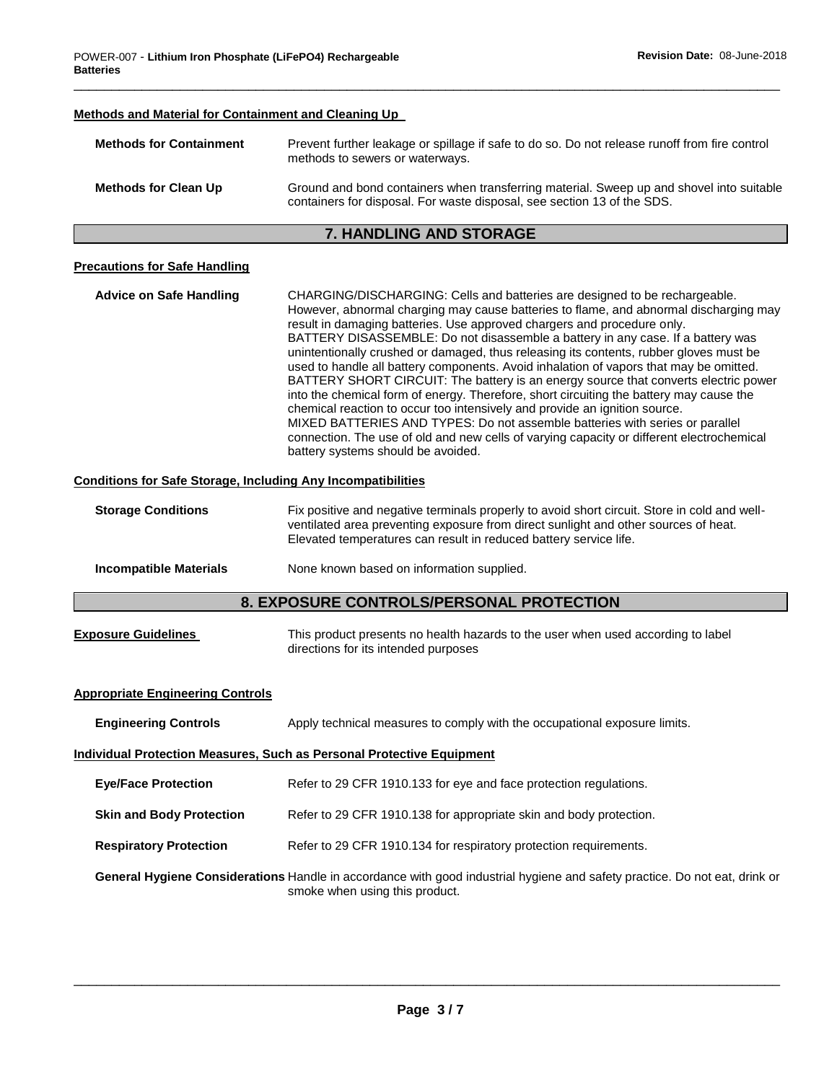# **Methods and Material for Containment and Cleaning Up Methods for Containment** Prevent further leakage or spillage if safe to do so. Do not release runoff from fire control methods to sewers or waterways. **Methods for Clean Up** Ground and bond containers when transferring material. Sweep up and shovel into suitable containers for disposal. For waste disposal, see section 13 of the SDS. **7. HANDLING AND STORAGE Precautions for Safe Handling Advice on Safe Handling** CHARGING/DISCHARGING: Cells and batteries are designed to be rechargeable. However, abnormal charging may cause batteries to flame, and abnormal discharging may result in damaging batteries. Use approved chargers and procedure only. BATTERY DISASSEMBLE: Do not disassemble a battery in any case. If a battery was unintentionally crushed or damaged, thus releasing its contents, rubber gloves must be used to handle all battery components. Avoid inhalation of vapors that may be omitted. BATTERY SHORT CIRCUIT: The battery is an energy source that converts electric power into the chemical form of energy. Therefore, short circuiting the battery may cause the chemical reaction to occur too intensively and provide an ignition source. MIXED BATTERIES AND TYPES: Do not assemble batteries with series or parallel connection. The use of old and new cells of varying capacity or different electrochemical battery systems should be avoided. **Conditions for Safe Storage, Including Any Incompatibilities Storage Conditions** Fix positive and negative terminals properly to avoid short circuit. Store in cold and wellventilated area preventing exposure from direct sunlight and other sources of heat. Elevated temperatures can result in reduced battery service life. **Incompatible Materials None known based on information supplied. 8. EXPOSURE CONTROLS/PERSONAL PROTECTION Exposure Guidelines** This product presents no health hazards to the user when used according to label directions for its intended purposes **Appropriate Engineering Controls Engineering Controls** Apply technical measures to comply with the occupational exposure limits. **Individual Protection Measures, Such as Personal Protective Equipment Eye/Face Protection** Refer to 29 CFR 1910.133 for eye and face protection regulations. **Skin and Body Protection** Refer to 29 CFR 1910.138 for appropriate skin and body protection. **Respiratory Protection Refer to 29 CFR 1910.134 for respiratory protection requirements.**

\_\_\_\_\_\_\_\_\_\_\_\_\_\_\_\_\_\_\_\_\_\_\_\_\_\_\_\_\_\_\_\_\_\_\_\_\_\_\_\_\_\_\_\_\_\_\_\_\_\_\_\_\_\_\_\_\_\_\_\_\_\_\_\_\_\_\_\_\_\_\_\_\_\_\_\_\_\_\_\_\_\_\_\_\_\_\_\_\_\_\_\_\_

**General Hygiene Considerations** Handle in accordance with good industrial hygiene and safety practice. Do not eat, drink or smoke when using this product.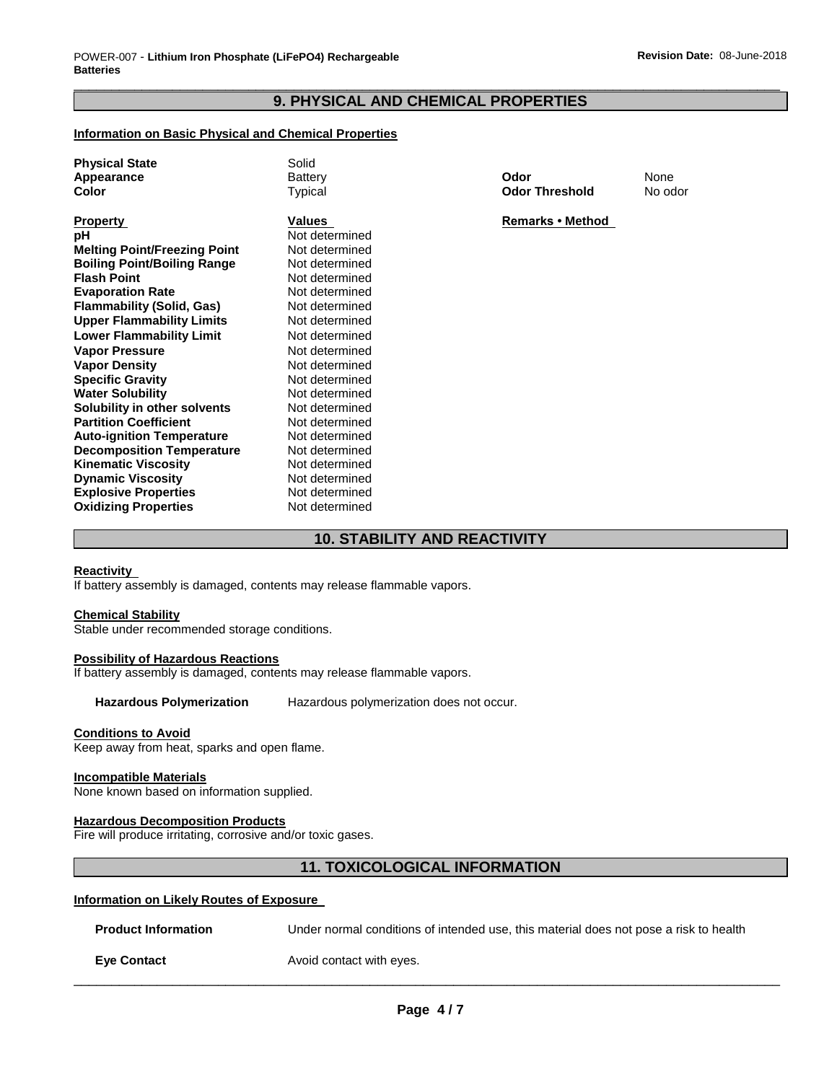# \_\_\_\_\_\_\_\_\_\_\_\_\_\_\_\_\_\_\_\_\_\_\_\_\_\_\_\_\_\_\_\_\_\_\_\_\_\_\_\_\_\_\_\_\_\_\_\_\_\_\_\_\_\_\_\_\_\_\_\_\_\_\_\_\_\_\_\_\_\_\_\_\_\_\_\_\_\_\_\_\_\_\_\_\_\_\_\_\_\_\_\_\_ **9. PHYSICAL AND CHEMICAL PROPERTIES**

# **Information on Basic Physical and Chemical Properties**

| <b>Physical State</b><br>Appearance<br>Color | Solid<br><b>Battery</b><br>Typical | Odor<br><b>Odor Threshold</b> | None<br>No odor |
|----------------------------------------------|------------------------------------|-------------------------------|-----------------|
| <b>Property</b>                              | <b>Values</b>                      | Remarks • Method              |                 |
| рH                                           | Not determined                     |                               |                 |
| <b>Melting Point/Freezing Point</b>          | Not determined                     |                               |                 |
| <b>Boiling Point/Boiling Range</b>           | Not determined                     |                               |                 |
| <b>Flash Point</b>                           | Not determined                     |                               |                 |
| <b>Evaporation Rate</b>                      | Not determined                     |                               |                 |
| <b>Flammability (Solid, Gas)</b>             | Not determined                     |                               |                 |
| <b>Upper Flammability Limits</b>             | Not determined                     |                               |                 |
| <b>Lower Flammability Limit</b>              | Not determined                     |                               |                 |
| <b>Vapor Pressure</b>                        | Not determined                     |                               |                 |
| <b>Vapor Density</b>                         | Not determined                     |                               |                 |
| <b>Specific Gravity</b>                      | Not determined                     |                               |                 |
| <b>Water Solubility</b>                      | Not determined                     |                               |                 |
| Solubility in other solvents                 | Not determined                     |                               |                 |
| <b>Partition Coefficient</b>                 | Not determined                     |                               |                 |
| <b>Auto-ignition Temperature</b>             | Not determined                     |                               |                 |
| <b>Decomposition Temperature</b>             | Not determined                     |                               |                 |
| <b>Kinematic Viscosity</b>                   | Not determined                     |                               |                 |
| <b>Dynamic Viscosity</b>                     | Not determined                     |                               |                 |
| <b>Explosive Properties</b>                  | Not determined                     |                               |                 |
| <b>Oxidizing Properties</b>                  | Not determined                     |                               |                 |

# **10. STABILITY AND REACTIVITY**

#### **Reactivity**

If battery assembly is damaged, contents may release flammable vapors.

# **Chemical Stability**

Stable under recommended storage conditions.

#### **Possibility of Hazardous Reactions**

If battery assembly is damaged, contents may release flammable vapors.

**Hazardous Polymerization** Hazardous polymerization does not occur.

# **Conditions to Avoid**

Keep away from heat, sparks and open flame.

#### **Incompatible Materials**

None known based on information supplied.

#### **Hazardous Decomposition Products**

Fire will produce irritating, corrosive and/or toxic gases.

# **11. TOXICOLOGICAL INFORMATION**

# **Information on Likely Routes of Exposure**

| <b>Product Information</b> | Under normal conditions of intended use, this material does not pose a risk to health |
|----------------------------|---------------------------------------------------------------------------------------|
| <b>Eve Contact</b>         | Avoid contact with eyes.                                                              |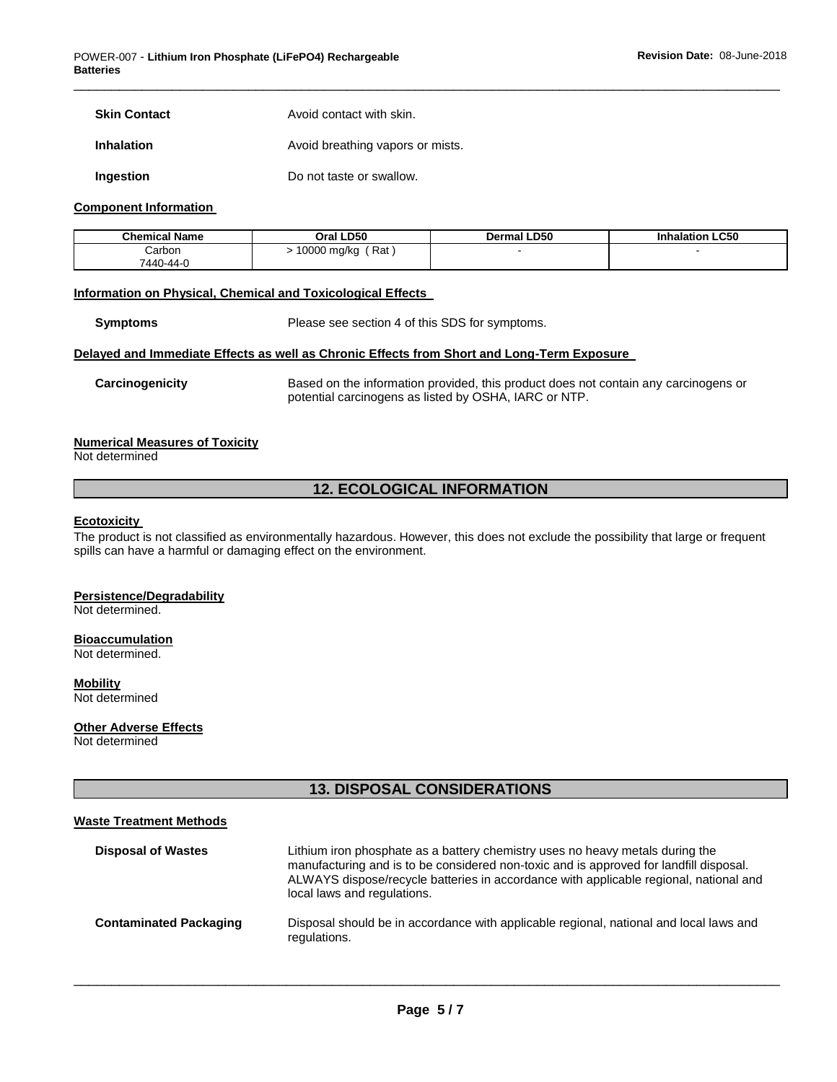| <b>Skin Contact</b> | Avoid contact with skin. |
|---------------------|--------------------------|
|                     |                          |

**Inhalation Avoid breathing vapors or mists.** 

**Ingestion Do not taste or swallow.** 

#### **Component Information**

| <b>Chemical Name</b> | Oral LD50          | <b>Dermal LD50</b> | <b>Inhalation LC50</b> |
|----------------------|--------------------|--------------------|------------------------|
| Carbon<br>7440-44-0  | Rat<br>10000 mg/kg |                    |                        |

\_\_\_\_\_\_\_\_\_\_\_\_\_\_\_\_\_\_\_\_\_\_\_\_\_\_\_\_\_\_\_\_\_\_\_\_\_\_\_\_\_\_\_\_\_\_\_\_\_\_\_\_\_\_\_\_\_\_\_\_\_\_\_\_\_\_\_\_\_\_\_\_\_\_\_\_\_\_\_\_\_\_\_\_\_\_\_\_\_\_\_\_\_

# **Information on Physical, Chemical and Toxicological Effects**

**Symptoms** Please see section 4 of this SDS for symptoms.

### **Delayed and Immediate Effects as well as Chronic Effects from Short and Long-Term Exposure**

**Carcinogenicity** Based on the information provided, this product does not contain any carcinogens or potential carcinogens as listed by OSHA, IARC or NTP.

# **Numerical Measures of Toxicity**

Not determined

# **12. ECOLOGICAL INFORMATION**

#### **Ecotoxicity**

The product is not classified as environmentally hazardous. However, this does not exclude the possibility that large or frequent spills can have a harmful or damaging effect on the environment.

### **Persistence/Degradability**

Not determined.

#### **Bioaccumulation** Not determined.

**Mobility** Not determined

### **Other Adverse Effects**

**Waste Treatment Methods**

Not determined

# **13. DISPOSAL CONSIDERATIONS**

| waste Treatment Methods       |                                                                                                                                                                                                                                                                                                 |
|-------------------------------|-------------------------------------------------------------------------------------------------------------------------------------------------------------------------------------------------------------------------------------------------------------------------------------------------|
| <b>Disposal of Wastes</b>     | Lithium iron phosphate as a battery chemistry uses no heavy metals during the<br>manufacturing and is to be considered non-toxic and is approved for landfill disposal.<br>ALWAYS dispose/recycle batteries in accordance with applicable regional, national and<br>local laws and regulations. |
| <b>Contaminated Packaging</b> | Disposal should be in accordance with applicable regional, national and local laws and<br>regulations.                                                                                                                                                                                          |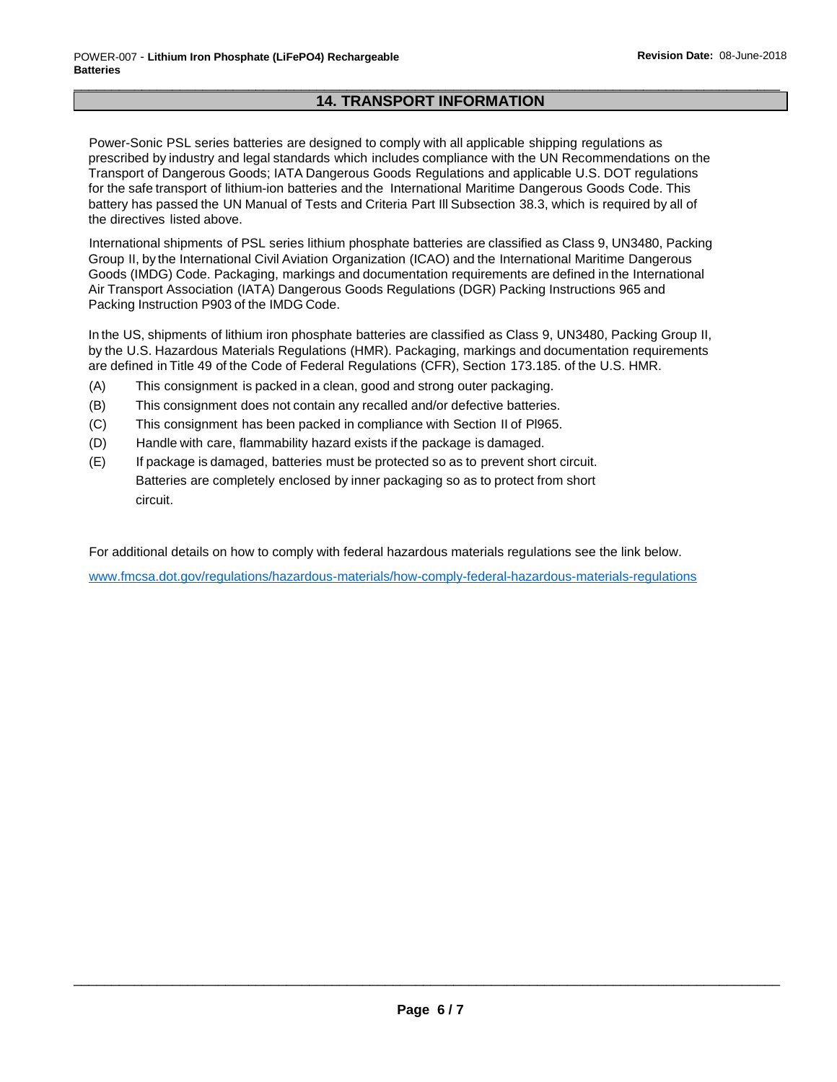# \_\_\_\_\_\_\_\_\_\_\_\_\_\_\_\_\_\_\_\_\_\_\_\_\_\_\_\_\_\_\_\_\_\_\_\_\_\_\_\_\_\_\_\_\_\_\_\_\_\_\_\_\_\_\_\_\_\_\_\_\_\_\_\_\_\_\_\_\_\_\_\_\_\_\_\_\_\_\_\_\_\_\_\_\_\_\_\_\_\_\_\_\_ **14. TRANSPORT INFORMATION**

Power-Sonic PSL series batteries are designed to comply with all applicable shipping regulations as prescribed by industry and legal standards which includes compliance with the UN Recommendations on the Transport of Dangerous Goods; IATA Dangerous Goods Regulations and applicable U.S. DOT regulations for the safe transport of lithium-ion batteries and the International Maritime Dangerous Goods Code. This battery has passed the UN Manual of Tests and Criteria Part Ill Subsection 38.3, which is required by all of the directives listed above.

International shipments of PSL series lithium phosphate batteries are classified as Class 9, UN3480, Packing Group II, by the International Civil Aviation Organization (ICAO) and the International Maritime Dangerous Goods (IMDG) Code. Packaging, markings and documentation requirements are defined in the International Air Transport Association (IATA) Dangerous Goods Regulations (DGR) Packing Instructions 965 and Packing Instruction P903 of the IMDG Code.

In the US, shipments of lithium iron phosphate batteries are classified as Class 9, UN3480, Packing Group II, by the U.S. Hazardous Materials Regulations (HMR). Packaging, markings and documentation requirements are defined in Title 49 of the Code of Federal Regulations (CFR), Section 173.185. of the U.S. HMR.

- (A) This consignment is packed in a clean, good and strong outer packaging.
- (B) This consignment does not contain any recalled and/or defective batteries.
- (C) This consignment has been packed in compliance with Section II of Pl965.
- (D) Handle with care, flammability hazard exists if the package is damaged.
- (E) If package is damaged, batteries must be protected so as to prevent short circuit. Batteries are completely enclosed by inner packaging so as to protect from short circuit.

For additional details on how to comply with federal hazardous materials regulations see the link below.

[www.fmcsa.dot.gov/regulations/hazardous-materials/how-comply-federal-hazardous-materials-regulations](http://www.fmcsa.dot.gov/regulations/hazardous-materials/how-comply-federal-hazardous-materials-regulations)